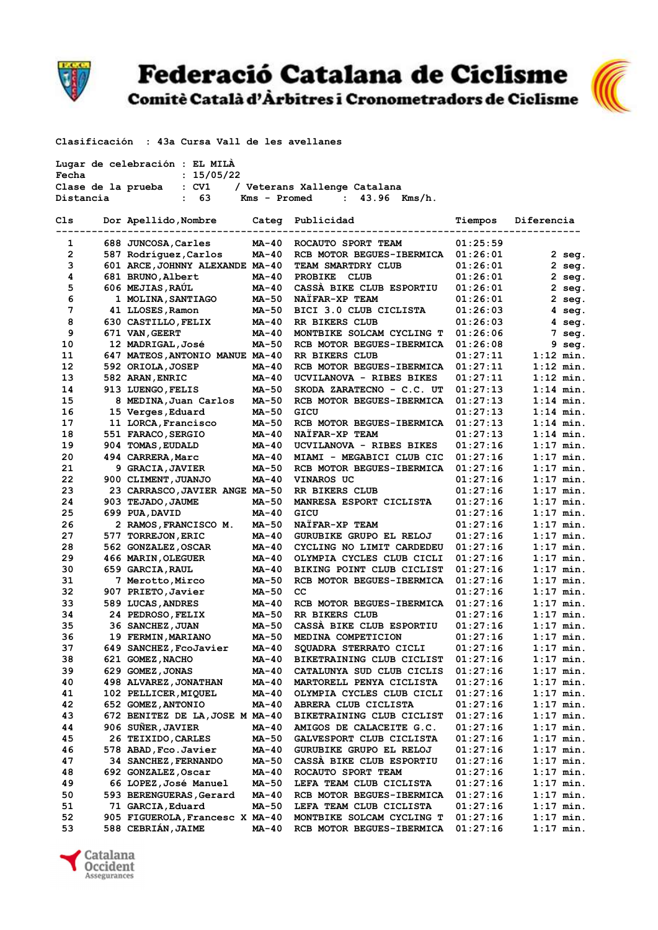

## **Federació Catalana de Ciclisme**

Comitè Català d'Àrbitres i Cronometradors de Ciclisme



Clasificación : 43a Cursa Vall de les avellanes

| Fecha             | Lugar de celebración : EL MILA<br>: 15/05/22             |              |                                    |                      |                      |
|-------------------|----------------------------------------------------------|--------------|------------------------------------|----------------------|----------------------|
|                   | Clase de la prueba : CV1                                 |              | / Veterans Xallenge Catalana       |                      |                      |
| Distancia         | : 63                                                     | Kms - Promed | : $43.96$ Kms/h.                   |                      |                      |
| Cls               | Dor Apellido, Nombre Categ Publicidad                    |              |                                    | Tiempos              | Diferencia           |
| 1                 |                                                          |              |                                    | 01:25:59             |                      |
|                   | 688 JUNCOSA, Carles                                      | MA-40        | ROCAUTO SPORT TEAM                 |                      |                      |
| $\mathbf{2}$<br>3 | 587 Rodríguez, Carlos<br>601 ARCE, JOHNNY ALEXANDE MA-40 | MA-40        | RCB MOTOR BEGUES-IBERMICA          | 01:26:01             | $2$ seg.             |
| 4                 | 681 BRUNO, Albert                                        | MA-40        | TEAM SMARTDRY CLUB<br>PROBIKE CLUB | 01:26:01             | $2$ seg.             |
| 5                 | 606 MEJIAS, RAÚL                                         | MA-40        | CASSA BIKE CLUB ESPORTIU           | 01:26:01             | $2$ seq.             |
| 6                 | 1 MOLINA, SANTIAGO                                       | MA-50        | NATFAR-XP TEAM                     | 01:26:01<br>01:26:01 | $2$ seg.<br>$2$ seq. |
| 7                 | 41 LLOSES, Ramon                                         | <b>MA-50</b> | BICI 3.0 CLUB CICLISTA             | 01:26:03             | $4 \text{ seg.}$     |
| 8                 | 630 CASTILLO, FELIX                                      | MA-40        | RR BIKERS CLUB                     | 01:26:03             | $4 \text{ seq.}$     |
| 9                 | 671 VAN, GEERT                                           | MA-40        | MONTBIKE SOLCAM CYCLING T          | 01:26:06             | 7 seg.               |
| 10                | 12 MADRIGAL,José                                         | MA-50        | RCB MOTOR BEGUES-IBERMICA          | 01:26:08             | 9 seg.               |
| 11                | 647 MATEOS, ANTONIO MANUE MA-40                          |              | RR BIKERS CLUB                     | 01:27:11             | $1:12$ min.          |
| 12                | 592 ORIOLA, JOSEP                                        | MA-40        | RCB MOTOR BEGUES-IBERMICA          | 01:27:11             | $1:12$ min.          |
| 13                | 582 ARAN, ENRIC                                          | MA-40        | UCVILANOVA - RIBES BIKES           | 01:27:11             | $1:12$ min.          |
| 14                | 913 LUENGO, FELIS                                        | <b>MA-50</b> | SKODA ZARATECNO - C.C. UT          | 01:27:13             | $1:14$ min.          |
| 15                | 8 MEDINA, Juan Carlos                                    | <b>MA-50</b> | RCB MOTOR BEGUES-IBERMICA          | 01:27:13             | $1:14$ min.          |
| 16                | 15 Verges, Eduard                                        | MA-50        | GICU                               | 01:27:13             | $1:14$ min.          |
| 17                | 11 LORCA, Francisco                                      | <b>MA-50</b> | RCB MOTOR BEGUES-IBERMICA          | 01:27:13             | $1:14$ min.          |
| 18                | 551 FARACO, SERGIO                                       | MA-40        | NAÏFAR-XP TEAM                     | 01:27:13             | $1:14$ min.          |
| 19                | 904 TOMAS, EUDALD                                        | MA-40        | UCVILANOVA - RIBES BIKES           | 01:27:16             | $1:17$ min.          |
| 20                | 494 CARRERA, Marc                                        | <b>MA-40</b> | MIAMI - MEGABICI CLUB CIC          | 01:27:16             | $1:17$ min.          |
| 21                | 9 GRACIA, JAVIER                                         | MA-50        | RCB MOTOR BEGUES-IBERMICA          | 01:27:16             | $1:17$ min.          |
| 22                | 900 CLIMENT, JUANJO                                      | MA-40        | <b>VINAROS UC</b>                  | 01:27:16             | $1:17$ min.          |
| 23                | 23 CARRASCO, JAVIER ANGE MA-50                           |              | RR BIKERS CLUB                     | 01:27:16             | $1:17$ min.          |
| 24                | 903 TEJADO, JAUME                                        | MA-50        | MANRESA ESPORT CICLISTA            | 01:27:16             | $1:17$ min.          |
| 25                | 699 PUA, DAVID                                           | MA-40        | GICU                               | 01:27:16             | $1:17$ min.          |
| 26                | 2 RAMOS, FRANCISCO M.                                    | MA-50        | NAÏFAR-XP TEAM                     | 01:27:16             | $1:17$ min.          |
| 27                | 577 TORREJON, ERIC                                       | MA-40        | GURUBIKE GRUPO EL RELOJ            | 01:27:16             | $1:17$ min.          |
| 28                | 562 GONZALEZ, OSCAR                                      | <b>MA-40</b> | CYCLING NO LIMIT CARDEDEU          | 01:27:16             | $1:17$ min.          |
| 29                | 466 MARIN, OLEGUER                                       | MA-40        | OLYMPIA CYCLES CLUB CICLI          | 01:27:16             | $1:17$ min.          |
| 30                | 659 GARCIA, RAUL                                         | MA-40        | BIKING POINT CLUB CICLIST          | 01:27:16             | $1:17$ min.          |
| 31                | 7 Merotto,Mirco                                          | MA-50        | RCB MOTOR BEGUES-IBERMICA          | 01:27:16             | $1:17$ min.          |
| 32                | 907 PRIETO, Javier                                       | MA-50        | cс                                 | 01:27:16             | $1:17$ min.          |
| 33                | 589 LUCAS, ANDRES                                        | MA-40        | RCB MOTOR BEGUES-IBERMICA          | 01:27:16             | $1:17$ min.          |
| 34                | 24 PEDROSO, FELIX                                        | MA-50        | RR BIKERS CLUB                     | 01:27:16             | $1:17$ min.          |
| 35                | 36 SANCHEZ, JUAN                                         | MA-50        | CASSA BIKE CLUB ESPORTIU           | 01:27:16             | $1:17$ min.          |
| 36                | 19 FERMIN, MARIANO                                       | MA-50        | MEDINA COMPETICION                 | 01:27:16             | $1:17$ min.          |
| 37                | 649 SANCHEZ, FcoJavier                                   | <b>MA-40</b> | SQUADRA STERRATO CICLI             | 01:27:16             | $1:17$ min.          |
| 38                | 621 GOMEZ, NACHO                                         | MA-40        | BIKETRAINING CLUB CICLIST          | 01:27:16             | $1:17$ min.          |
| 39                | 629 GOMEZ, JONAS                                         | <b>MA-40</b> | CATALUNYA SUD CLUB CICLIS          | 01:27:16             | $1:17$ min.          |
| 40                | 498 ALVAREZ, JONATHAN                                    | MA-40        | MARTORELL PENYA CICLISTA           | 01:27:16             | $1:17$ min.          |
| 41                | 102 PELLICER, MIQUEL                                     | MA-40        | OLYMPIA CYCLES CLUB CICLI          | 01:27:16             | $1:17$ min.          |
| 42                | 652 GOMEZ, ANTONIO                                       | MA-40        | ABRERA CLUB CICLISTA               | 01:27:16             | $1:17$ min.          |
| 43                | 672 BENITEZ DE LA, JOSE M MA-40                          |              | <b>BIKETRAINING CLUB CICLIST</b>   | 01:27:16             | $1:17$ min.          |
| 44                | 906 SUÑER, JAVIER                                        | MA-40        | AMIGOS DE CALACEITE G.C.           | 01:27:16             | $1:17$ min.          |
| 45                | 26 TEIXIDO, CARLES                                       | MA-50        | GALVESPORT CLUB CICLISTA           | 01:27:16             | $1:17$ min.          |
| 46                | 578 ABAD, Fco. Javier                                    | MA-40        | <b>GURUBIKE GRUPO EL RELOJ</b>     | 01:27:16             | $1:17$ min.          |
| 47                | 34 SANCHEZ, FERNANDO                                     | MA-50        | CASSA BIKE CLUB ESPORTIU           | 01:27:16             | $1:17$ min.          |
| 48                | 692 GONZALEZ, Oscar                                      | MA-40        | ROCAUTO SPORT TEAM                 | 01:27:16             | $1:17$ min.          |
| 49                | 66 LOPEZ, José Manuel                                    | MA-50        | LEFA TEAM CLUB CICLISTA            | 01:27:16             | $1:17$ min.          |
| 50                | 593 BERENGUERAS, Gerard                                  | MA-40        | RCB MOTOR BEGUES-IBERMICA          | 01:27:16             | $1:17$ min.          |
| 51                | 71 GARCIA, Eduard                                        | MA-50        | LEFA TEAM CLUB CICLISTA            | 01:27:16             | $1:17$ min.          |
| 52                | 905 FIGUEROLA, Francesc X MA-40                          |              | MONTBIKE SOLCAM CYCLING T          | 01:27:16             | $1:17$ min.          |
| 53                | 588 CEBRIÁN, JAIME                                       | MA-40        | RCB MOTOR BEGUES-IBERMICA          | 01:27:16             | $1:17$ min.          |

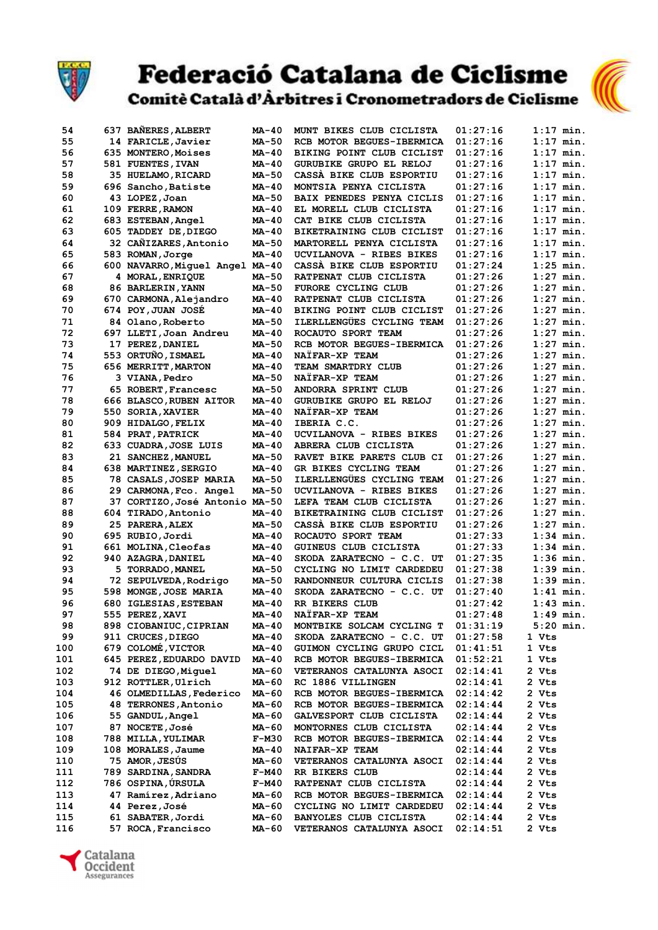

### **Federació Catalana de Ciclisme** Comitè Català d'Àrbitres i Cronometradors de Ciclisme



| 54  | 637 BANERES, ALBERT             | <b>MA-40</b> | MUNT BIKES CLUB CICLISTA  | 01:27:16 | $1:17$ min. |
|-----|---------------------------------|--------------|---------------------------|----------|-------------|
| 55  | 14 FARICLE, Javier              | <b>MA-50</b> | RCB MOTOR BEGUES-IBERMICA | 01:27:16 | $1:17$ min. |
| 56  | 635 MONTERO, Moises             | <b>MA-40</b> | BIKING POINT CLUB CICLIST | 01:27:16 | $1:17$ min. |
| 57  | 581 FUENTES, IVAN               | <b>MA-40</b> | GURUBIKE GRUPO EL RELOJ   | 01:27:16 | $1:17$ min. |
| 58  | 35 HUELAMO, RICARD              | MA-50        | CASSA BIKE CLUB ESPORTIU  | 01:27:16 | $1:17$ min. |
| 59  | 696 Sancho, Batiste             | MA-40        | MONTSIA PENYA CICLISTA    | 01:27:16 | $1:17$ min. |
|     |                                 |              |                           |          |             |
| 60  | 43 LOPEZ, Joan                  | MA-50        | BAIX PENEDES PENYA CICLIS | 01:27:16 | $1:17$ min. |
| 61  | 109 FERRE, RAMON                | <b>MA-40</b> | EL MORELL CLUB CICLISTA   | 01:27:16 | $1:17$ min. |
| 62  | 683 ESTEBAN, Angel              | <b>MA-40</b> | CAT BIKE CLUB CICLISTA    | 01:27:16 | $1:17$ min. |
| 63  | 605 TADDEY DE, DIEGO            | MA-40        | BIKETRAINING CLUB CICLIST | 01:27:16 | $1:17$ min. |
| 64  | 32 CAÑIZARES, Antonio           | MA-50        | MARTORELL PENYA CICLISTA  | 01:27:16 | $1:17$ min. |
| 65  | 583 ROMAN, Jorge                | <b>MA-40</b> | UCVILANOVA - RIBES BIKES  | 01:27:16 | $1:17$ min. |
| 66  | 600 NAVARRO, Miguel Angel MA-40 |              | CASSA BIKE CLUB ESPORTIU  | 01:27:24 | $1:25$ min. |
| 67  | 4 MORAL, ENRIQUE                | MA-50        | RATPENAT CLUB CICLISTA    | 01:27:26 | $1:27$ min. |
| 68  |                                 | MA-50        | FURORE CYCLING CLUB       | 01:27:26 | $1:27$ min. |
|     | 86 BARLERIN, YANN               |              |                           |          |             |
| 69  | 670 CARMONA, Alejandro          | <b>MA-40</b> | RATPENAT CLUB CICLISTA    | 01:27:26 | $1:27$ min. |
| 70  | 674 POY, JUAN JOSE              | <b>MA-40</b> | BIKING POINT CLUB CICLIST | 01:27:26 | $1:27$ min. |
| 71  | 84 Olano, Roberto               | MA-50        | ILERLLENGÜES CYCLING TEAM | 01:27:26 | $1:27$ min. |
| 72  | 697 LLETI, Joan Andreu          | <b>MA-40</b> | ROCAUTO SPORT TEAM        | 01:27:26 | $1:27$ min. |
| 73  | 17 PEREZ, DANIEL                | <b>MA-50</b> | RCB MOTOR BEGUES-IBERMICA | 01:27:26 | $1:27$ min. |
| 74  | 553 ORTUÑO, ISMAEL              | MA-40        | NAÏFAR-XP TEAM            | 01:27:26 | $1:27$ min. |
| 75  | 656 MERRITT, MARTON             | MA-40        | TEAM SMARTDRY CLUB        | 01:27:26 | $1:27$ min. |
| 76  | 3 VIANA, Pedro                  | <b>MA-50</b> | NAIFAR-XP TEAM            | 01:27:26 | $1:27$ min. |
|     |                                 |              |                           |          |             |
| 77  | 65 ROBERT, Francesc             | <b>MA-50</b> | ANDORRA SPRINT CLUB       | 01:27:26 | $1:27$ min. |
| 78  | 666 BLASCO, RUBEN AITOR         | MA-40        | GURUBIKE GRUPO EL RELOJ   | 01:27:26 | $1:27$ min. |
| 79  | 550 SORIA, XAVIER               | $MA-40$      | NAIFAR-XP TEAM            | 01:27:26 | $1:27$ min. |
| 80  | 909 HIDALGO, FELIX              | <b>MA-40</b> | IBERIA C.C.               | 01:27:26 | $1:27$ min. |
| 81  | 584 PRAT, PATRICK               | <b>MA-40</b> | UCVILANOVA - RIBES BIKES  | 01:27:26 | $1:27$ min. |
| 82  | 633 CUADRA, JOSE LUIS           | <b>MA-40</b> | ABRERA CLUB CICLISTA      | 01:27:26 | $1:27$ min. |
| 83  | 21 SANCHEZ, MANUEL              | <b>MA-50</b> | RAVET BIKE PARETS CLUB CI | 01:27:26 | $1:27$ min. |
| 84  | 638 MARTINEZ, SERGIO            | MA-40        | GR BIKES CYCLING TEAM     | 01:27:26 | $1:27$ min. |
|     |                                 |              | ILERLLENGÜES CYCLING TEAM |          |             |
| 85  | 78 CASALS, JOSEP MARIA          | MA-50        |                           | 01:27:26 | $1:27$ min. |
| 86  | 29 CARMONA, Fco. Angel          | <b>MA-50</b> | UCVILANOVA - RIBES BIKES  | 01:27:26 | $1:27$ min. |
| 87  | 37 CORTIZO, José Antonio MA-50  |              | LEFA TEAM CLUB CICLISTA   | 01:27:26 | $1:27$ min. |
| 88  | 604 TIRADO, Antonio             | MA-40        | BIKETRAINING CLUB CICLIST | 01:27:26 | $1:27$ min. |
| 89  | 25 PARERA, ALEX                 | <b>MA-50</b> | CASSA BIKE CLUB ESPORTIU  | 01:27:26 | $1:27$ min. |
| 90  | 695 RUBIO, Jordi                | <b>MA-40</b> | ROCAUTO SPORT TEAM        | 01:27:33 | $1:34$ min. |
| 91  | 661 MOLINA, Cleofas             | <b>MA-40</b> | GUINEUS CLUB CICLISTA     | 01:27:33 | $1:34$ min. |
| 92  | 940 AZAGRA, DANIEL              | MA-40        | SKODA ZARATECNO - C.C. UT | 01:27:35 | $1:36$ min. |
| 93  | 5 TORRADO, MANEL                | <b>MA-50</b> | CYCLING NO LIMIT CARDEDEU | 01:27:38 | $1:39$ min. |
| 94  | 72 SEPULVEDA, Rodrigo           | MA-50        | RANDONNEUR CULTURA CICLIS | 01:27:38 | $1:39$ min. |
|     |                                 |              |                           |          |             |
| 95  | 598 MONGE, JOSE MARIA           | <b>MA-40</b> | SKODA ZARATECNO - C.C. UT | 01:27:40 | $1:41$ min. |
| 96  | 680 IGLESIAS, ESTEBAN           | <b>MA-40</b> | RR BIKERS CLUB            | 01:27:42 | $1:43$ min. |
| 97  | 555 PEREZ, XAVI                 | MA-40        | NATFAR-XP TEAM            | 01:27:48 | $1:49$ min. |
| 98  | 898 CIOBANIUC, CIPRIAN          | $MA-40$      | MONTBIKE SOLCAM CYCLING T | 01:31:19 | $5:20$ min. |
| 99  | 911 CRUCES, DIEGO               | MA-40        | SKODA ZARATECNO - C.C. UT | 01:27:58 | 1 Vts       |
| 100 | 679 COLOMÉ, VICTOR              | MA-40        | GUIMON CYCLING GRUPO CICL | 01:41:51 | 1 Vts       |
| 101 | 645 PEREZ, EDUARDO DAVID        | MA-40        | RCB MOTOR BEGUES-IBERMICA | 01:52:21 | 1 Vts       |
| 102 | 74 DE DIEGO, Miquel             | MA-60        | VETERANOS CATALUNYA ASOCI | 02:14:41 | 2 Vts       |
| 103 | 912 ROTTLER, Ulrich             | MA-60        | RC 1886 VILLINGEN         | 02:14:41 | 2 Vts       |
|     |                                 |              |                           |          |             |
| 104 | 46 OLMEDILLAS, Federico         | MA-60        | RCB MOTOR BEGUES-IBERMICA | 02:14:42 | 2 Vts       |
| 105 | 48 TERRONES, Antonio            | MA-60        | RCB MOTOR BEGUES-IBERMICA | 02:14:44 | 2 Vts       |
| 106 | 55 GANDUL, Angel                | MA-60        | GALVESPORT CLUB CICLISTA  | 02:14:44 | 2 Vts       |
| 107 | 87 NOCETE, José                 | MA-60        | MONTORNES CLUB CICLISTA   | 02:14:44 | 2 Vts       |
| 108 | 788 MILLA, YULIMAR              | <b>F-M30</b> | RCB MOTOR BEGUES-IBERMICA | 02:14:44 | 2 Vts       |
| 109 | 108 MORALES, Jaume              | MA-40        | NAIFAR-XP TEAM            | 02:14:44 | 2 Vts       |
| 110 | 75 AMOR, JESÚS                  | MA-60        | VETERANOS CATALUNYA ASOCI | 02:14:44 | 2 Vts       |
| 111 | 789 SARDINA, SANDRA             | $F-M40$      | RR BIKERS CLUB            | 02:14:44 | 2 Vts       |
| 112 | 786 OSPINA, ÚRSULA              | $F-M40$      | RATPENAT CLUB CICLISTA    | 02:14:44 | 2 Vts       |
|     |                                 |              |                           |          |             |
| 113 | 47 Ramírez, Adriano             | MA-60        | RCB MOTOR BEGUES-IBERMICA | 02:14:44 | 2 Vts       |
| 114 | 44 Perez, José                  | MA-60        | CYCLING NO LIMIT CARDEDEU | 02:14:44 | 2 Vts       |
| 115 | 61 SABATER, Jordi               | MA-60        | BANYOLES CLUB CICLISTA    | 02:14:44 | 2 Vts       |
| 116 | 57 ROCA, Francisco              | MA-60        | VETERANOS CATALUNYA ASOCI | 02:14:51 | 2 Vts       |

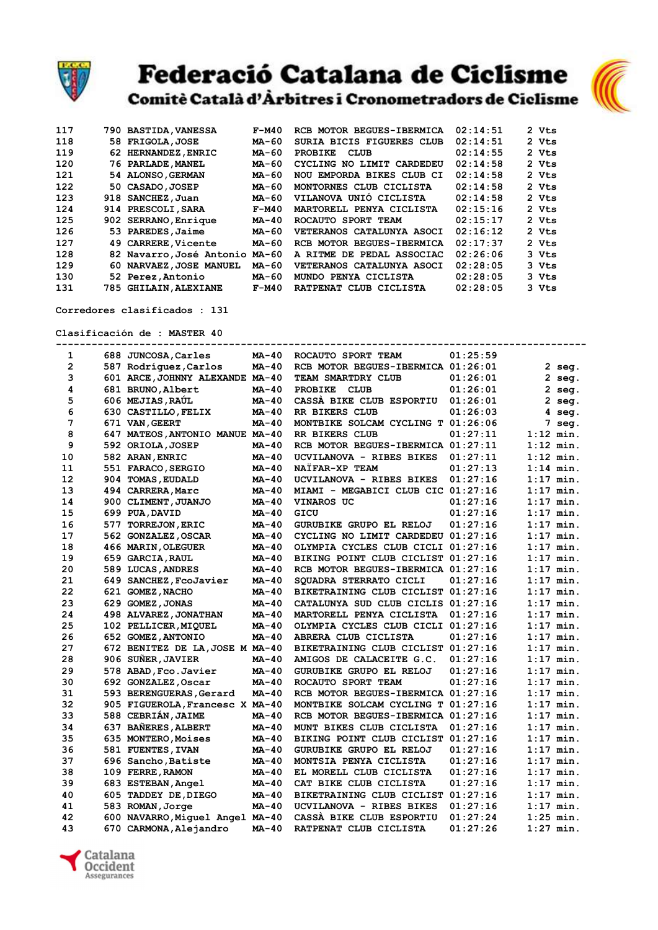

## **Federació Catalana de Ciclisme**





Corredores clasificados : 131

Clasificación de : MASTER 40

| 1              | 688 JUNCOSA, Carles             | MA-40        | ROCAUTO SPORT TEAM                 | 01:25:59 |             |             |
|----------------|---------------------------------|--------------|------------------------------------|----------|-------------|-------------|
| $\overline{2}$ | 587 Rodríguez, Carlos           | MA-40        | RCB MOTOR BEGUES-IBERMICA 01:26:01 |          |             | $2$ seg.    |
| 3              | 601 ARCE, JOHNNY ALEXANDE MA-40 |              | TEAM SMARTDRY CLUB                 | 01:26:01 |             | 2 seg.      |
| 4              | 681 BRUNO, Albert               | $MA-40$      | <b>PROBIKE</b><br>CLUB             | 01:26:01 |             | 2 seg.      |
| 5              | 606 MEJIAS, RAÚL                | $MA-40$      | CASSA BIKE CLUB ESPORTIU           | 01:26:01 |             | $2$ seq.    |
| 6              | 630 CASTILLO, FELIX             | MA-40        | RR BIKERS CLUB                     | 01:26:03 |             | 4 seg.      |
| 7              | 671 VAN, GEERT                  | $MA-40$      | MONTBIKE SOLCAM CYCLING T 01:26:06 |          |             | 7 seg.      |
| 8              | 647 MATEOS, ANTONIO MANUE MA-40 |              | RR BIKERS CLUB                     | 01:27:11 |             | $1:12$ min. |
| 9              | 592 ORIOLA, JOSEP               | MA-40        | RCB MOTOR BEGUES-IBERMICA 01:27:11 |          |             | $1:12$ min. |
| 10             | 582 ARAN, ENRIC                 | MA-40        | UCVILANOVA - RIBES BIKES           | 01:27:11 |             | $1:12$ min. |
| 11             | 551 FARACO, SERGIO              | <b>MA-40</b> | <b>NAÏFAR-XP TEAM</b>              | 01:27:13 |             | $1:14$ min. |
| 12             | 904 TOMAS, EUDALD               | <b>MA-40</b> | UCVILANOVA - RIBES BIKES           | 01:27:16 |             | $1:17$ min. |
| 13             | 494 CARRERA, Marc               | $MA-40$      | MIAMI - MEGABICI CLUB CIC 01:27:16 |          |             | $1:17$ min. |
| 14             | 900 CLIMENT, JUANJO             | MA-40        | <b>VINAROS UC</b>                  | 01:27:16 |             | $1:17$ min. |
| 15             | 699 PUA, DAVID                  | <b>MA-40</b> | GICU                               | 01:27:16 |             | $1:17$ min. |
| 16             | 577 TORREJON, ERIC              | MA-40        | GURUBIKE GRUPO EL RELOJ            | 01:27:16 |             | $1:17$ min. |
| 17             | 562 GONZALEZ, OSCAR             | MA-40        | CYCLING NO LIMIT CARDEDEU 01:27:16 |          |             | $1:17$ min. |
| 18             | 466 MARIN, OLEGUER              | <b>MA-40</b> | OLYMPIA CYCLES CLUB CICLI 01:27:16 |          |             | $1:17$ min. |
| 19             | 659 GARCIA, RAUL                | $MA-40$      | BIKING POINT CLUB CICLIST 01:27:16 |          |             | $1:17$ min. |
| 20             | 589 LUCAS, ANDRES               | $MA-40$      | RCB MOTOR BEGUES-IBERMICA 01:27:16 |          |             | $1:17$ min. |
| 21             | 649 SANCHEZ, FcoJavier          | MA-40        | SOUADRA STERRATO CICLI             | 01:27:16 |             | $1:17$ min. |
| 22             | 621 GOMEZ, NACHO                | <b>MA-40</b> | BIKETRAINING CLUB CICLIST 01:27:16 |          |             | $1:17$ min. |
| 23             | 629 GOMEZ, JONAS                | $MA-40$      | CATALUNYA SUD CLUB CICLIS 01:27:16 |          |             | $1:17$ min. |
| 24             | 498 ALVAREZ, JONATHAN           | MA-40        | MARTORELL PENYA CICLISTA           | 01:27:16 |             | $1:17$ min. |
| 25             | 102 PELLICER, MIQUEL            | MA-40        | OLYMPIA CYCLES CLUB CICLI 01:27:16 |          |             | $1:17$ min. |
| 26             | 652 GOMEZ, ANTONIO              | <b>MA-40</b> | ABRERA CLUB CICLISTA               | 01:27:16 |             | $1:17$ min. |
| 27             | 672 BENITEZ DE LA, JOSE M MA-40 |              | BIKETRAINING CLUB CICLIST 01:27:16 |          |             | $1:17$ min. |
| 28             | 906 SUÑER, JAVIER               | <b>MA-40</b> | AMIGOS DE CALACEITE G.C.           | 01:27:16 |             | $1:17$ min. |
| 29             | 578 ABAD, Fco. Javier           | $MA-40$      | <b>GURUBIKE GRUPO EL RELOJ</b>     | 01:27:16 |             | $1:17$ min. |
| 30             | 692 GONZALEZ, Oscar             | $MA-40$      | ROCAUTO SPORT TEAM                 | 01:27:16 |             | $1:17$ min. |
| 31             | 593 BERENGUERAS, Gerard         | MA-40        | RCB MOTOR BEGUES-IBERMICA 01:27:16 |          |             | $1:17$ min. |
| 32             | 905 FIGUEROLA, Francesc X MA-40 |              | MONTBIKE SOLCAM CYCLING T 01:27:16 |          |             | $1:17$ min. |
| 33             | 588 CEBRIÁN, JAIME              | $MA-40$      | RCB MOTOR BEGUES-IBERMICA 01:27:16 |          |             | $1:17$ min. |
| 34             | 637 BAÑERES, ALBERT             | $MA-40$      | MUNT BIKES CLUB CICLISTA           | 01:27:16 |             | $1:17$ min. |
| 35             | 635 MONTERO, Moises             | MA-40        | BIKING POINT CLUB CICLIST 01:27:16 |          |             | $1:17$ min. |
| 36             | 581 FUENTES, IVAN               | <b>MA-40</b> | GURUBIKE GRUPO EL RELOJ            | 01:27:16 |             | $1:17$ min. |
| 37             | 696 Sancho, Batiste             | $MA-40$      | MONTSIA PENYA CICLISTA             | 01:27:16 |             | $1:17$ min. |
| 38             | 109 FERRE, RAMON                | $MA-40$      | EL MORELL CLUB CICLISTA            | 01:27:16 |             | $1:17$ min. |
| 39             | 683 ESTEBAN, Angel              | MA-40        | CAT BIKE CLUB CICLISTA             | 01:27:16 |             | $1:17$ min. |
| 40             | 605 TADDEY DE, DIEGO            | MA-40        | BIKETRAINING CLUB CICLIST 01:27:16 |          |             | $1:17$ min. |
| 41             | 583 ROMAN, Jorge                | MA-40        | UCVILANOVA - RIBES BIKES           | 01:27:16 |             | $1:17$ min. |
| 42             | 600 NAVARRO, Miquel Angel MA-40 |              | CASSA BIKE CLUB ESPORTIU           | 01:27:24 |             | $1:25$ min. |
| 43             | 670 CARMONA, Aleiandro          | <b>MA-40</b> | RATPENAT CLUB CICLISTA             | 01:27:26 | $1:27$ min. |             |
|                |                                 |              |                                    |          |             |             |

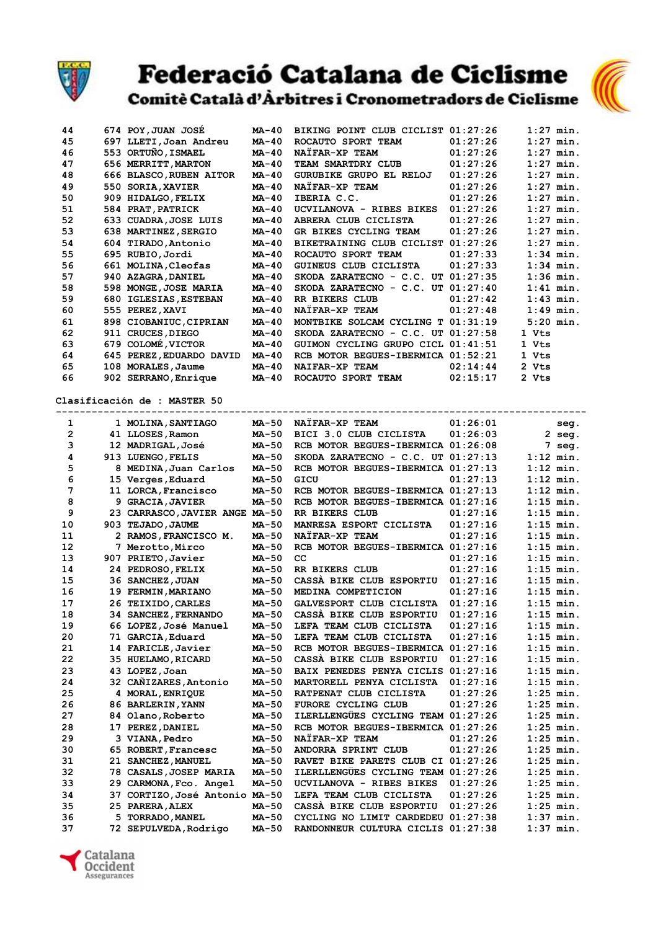

# Federació Catalana de Ciclisme<br>Comitè Català d'Àrbitres i Cronometradors de Ciclisme



| 44           | 674 POY, JUAN JOSE             | <b>MA-40</b> | BIKING POINT CLUB CICLIST 01:27:26   |          | $1:27$ min. |
|--------------|--------------------------------|--------------|--------------------------------------|----------|-------------|
| 45           | 697 LLETI, Joan Andreu         | <b>MA-40</b> | ROCAUTO SPORT TEAM                   | 01:27:26 | $1:27$ min. |
| 46           | 553 ORTUÑO, ISMAEL             | <b>MA-40</b> | NAIFAR-XP TEAM                       | 01:27:26 | $1:27$ min. |
| 47           | 656 MERRITT, MARTON            | MA-40        | TEAM SMARTDRY CLUB                   | 01:27:26 | $1:27$ min. |
| 48           | 666 BLASCO, RUBEN AITOR        | <b>MA-40</b> | GURUBIKE GRUPO EL RELOJ              | 01:27:26 | $1:27$ min. |
| 49           | 550 SORIA, XAVIER              | MA-40        | NAIFAR-XP TEAM                       | 01:27:26 | $1:27$ min. |
| 50           | 909 HIDALGO, FELIX             | <b>MA-40</b> | IBERIA C.C.                          | 01:27:26 | $1:27$ min. |
| 51           | 584 PRAT, PATRICK              | MA-40        | UCVILANOVA - RIBES BIKES             | 01:27:26 | $1:27$ min. |
| 52           | 633 CUADRA, JOSE LUIS          | MA-40        | ABRERA CLUB CICLISTA                 | 01:27:26 | $1:27$ min. |
| 53           | 638 MARTINEZ, SERGIO           | <b>MA-40</b> | GR BIKES CYCLING TEAM                | 01:27:26 | $1:27$ min. |
| 54           | 604 TIRADO, Antonio            | MA-40        | BIKETRAINING CLUB CICLIST 01:27:26   |          | $1:27$ min. |
| 55           | 695 RUBIO, Jordi               | <b>MA-40</b> | ROCAUTO SPORT TEAM                   | 01:27:33 | $1:34$ min. |
| 56           | 661 MOLINA, Cleofas            | $MA-40$      | GUINEUS CLUB CICLISTA                | 01:27:33 | $1:34$ min. |
| 57           | 940 AZAGRA, DANIEL             | MA-40        | SKODA ZARATECNO - C.C. UT $01:27:35$ |          | $1:36$ min. |
| 58           | 598 MONGE, JOSE MARIA          | <b>MA-40</b> | SKODA ZARATECNO - C.C. UT 01:27:40   |          | $1:41$ min. |
| 59           | 680 IGLESIAS, ESTEBAN          | MA-40        | RR BIKERS CLUB                       | 01:27:42 | $1:43$ min. |
| 60           |                                | MA-40        | NAIFAR-XP TEAM                       | 01:27:48 | $1:49$ min. |
|              | 555 PEREZ, XAVI                |              |                                      |          |             |
| 61           | 898 CIOBANIUC, CIPRIAN         | <b>MA-40</b> | MONTBIKE SOLCAM CYCLING T 01:31:19   |          | $5:20$ min. |
| 62           | 911 CRUCES, DIEGO              | MA-40        | SKODA ZARATECNO - C.C. UT 01:27:58   |          | 1 Vts       |
| 63           | 679 COLOMÉ, VICTOR             | $MA-40$      | GUIMON CYCLING GRUPO CICL 01:41:51   |          | 1 Vts       |
| 64           | 645 PEREZ, EDUARDO DAVID       | MA-40        | RCB MOTOR BEGUES-IBERMICA 01:52:21   |          | 1 Vts       |
| 65           | 108 MORALES, Jaume             | MA-40        | NAIFAR-XP TEAM                       | 02:14:44 | 2 Vts       |
| 66           | 902 SERRANO, Enrique           | MA-40        | ROCAUTO SPORT TEAM                   | 02:15:17 | 2 Vts       |
|              | Clasificación de : MASTER 50   |              |                                      |          |             |
| 1            | 1 MOLINA, SANTIAGO             | MA-50        | NATFAR-XP TEAM                       | 01:26:01 | seg.        |
| $\mathbf{2}$ | 41 LLOSES, Ramon               | MA-50        | BICI 3.0 CLUB CICLISTA               | 01:26:03 | $2$ seq.    |
| 3            | 12 MADRIGAL, José              | <b>MA-50</b> | RCB MOTOR BEGUES-IBERMICA 01:26:08   |          | 7 seg.      |
| 4            | 913 LUENGO, FELIS              | <b>MA-50</b> | SKODA ZARATECNO - C.C. UT 01:27:13   |          | $1:12$ min. |
| 5            | 8 MEDINA, Juan Carlos          | <b>MA-50</b> | RCB MOTOR BEGUES-IBERMICA 01:27:13   |          | $1:12$ min. |
| 6            | 15 Verges, Eduard              | MA-50        | GICU                                 | 01:27:13 | $1:12$ min. |
| 7            | 11 LORCA, Francisco            | <b>MA-50</b> | RCB MOTOR BEGUES-IBERMICA 01:27:13   |          | $1:12$ min. |
| 8            | 9 GRACIA, JAVIER               | <b>MA-50</b> | RCB MOTOR BEGUES-IBERMICA 01:27:16   |          | $1:15$ min. |
| 9            | 23 CARRASCO, JAVIER ANGE MA-50 |              | RR BIKERS CLUB                       | 01:27:16 | $1:15$ min. |
| 10           | 903 TEJADO, JAUME              | <b>MA-50</b> | MANRESA ESPORT CICLISTA              | 01:27:16 | $1:15$ min. |
| 11           |                                | <b>MA-50</b> | NATFAR-XP TEAM                       | 01:27:16 | $1:15$ min. |
|              | 2 RAMOS, FRANCISCO M.          | <b>MA-50</b> |                                      |          |             |
| 12           | 7 Merotto, Mirco               |              | RCB MOTOR BEGUES-IBERMICA 01:27:16   |          | $1:15$ min. |
| 13           | 907 PRIETO, Javier             | MA-50        | cc                                   | 01:27:16 | $1:15$ min. |
| 14           | 24 PEDROSO, FELIX              | <b>MA-50</b> | RR BIKERS CLUB                       | 01:27:16 | $1:15$ min. |
| 15           | 36 SANCHEZ, JUAN               | <b>MA-50</b> | CASSA BIKE CLUB ESPORTIU             | 01:27:16 | $1:15$ min. |
| 16           | 19 FERMIN, MARIANO             | MA-50        | MEDINA COMPETICION                   | 01:27:16 | $1:15$ min. |
| 17           | 26 TEIXIDO, CARLES             | MA-50        | GALVESPORT CLUB CICLISTA             | 01:27:16 | $1:15$ min. |
| 18           | 34 SANCHEZ, FERNANDO           | MA-50        | CASSA BIKE CLUB ESPORTIU             | 01:27:16 | $1:15$ min. |
| 19           | 66 LOPEZ, José Manuel          | <b>MA-50</b> | LEFA TEAM CLUB CICLISTA              | 01:27:16 | $1:15$ min. |
| 20           | 71 GARCIA, Eduard              | MA-50        | LEFA TEAM CLUB CICLISTA              | 01:27:16 | $1:15$ min. |
| 21           | 14 FARICLE, Javier             | MA-50        | RCB MOTOR BEGUES-IBERMICA 01:27:16   |          | $1:15$ min. |
| 22           | 35 HUELAMO, RICARD             | MA-50        | CASSA BIKE CLUB ESPORTIU             | 01:27:16 | $1:15$ min. |
| 23           | 43 LOPEZ, Joan                 | MA-50        | BAIX PENEDES PENYA CICLIS 01:27:16   |          | $1:15$ min. |
| 24           | 32 CAÑIZARES, Antonio          | MA-50        | MARTORELL PENYA CICLISTA             | 01:27:16 | $1:15$ min. |
| 25           | 4 MORAL, ENRIQUE               | MA-50        | RATPENAT CLUB CICLISTA               | 01:27:26 | $1:25$ min. |
| 26           | 86 BARLERIN, YANN              | MA-50        | FURORE CYCLING CLUB                  | 01:27:26 | $1:25$ min. |
| 27           | 84 Olano, Roberto              | <b>MA-50</b> | ILERLLENGÜES CYCLING TEAM 01:27:26   |          | $1:25$ min. |
| 28           | 17 PEREZ, DANIEL               | MA-50        | RCB MOTOR BEGUES-IBERMICA 01:27:26   |          | $1:25$ min. |
| 29           | 3 VIANA, Pedro                 | MA-50        | NAIFAR-XP TEAM                       | 01:27:26 | $1:25$ min. |
| 30           | 65 ROBERT, Francesc            | MA-50        | ANDORRA SPRINT CLUB                  | 01:27:26 | $1:25$ min. |
| 31           | 21 SANCHEZ, MANUEL             | MA-50        | RAVET BIKE PARETS CLUB CI 01:27:26   |          | $1:25$ min. |
| 32           | 78 CASALS, JOSEP MARIA         | MA-50        | ILERLLENGUES CYCLING TEAM 01:27:26   |          | $1:25$ min. |
| 33           | 29 CARMONA, Fco. Angel         | MA-50        | UCVILANOVA - RIBES BIKES             | 01:27:26 | $1:25$ min. |
| 34           | 37 CORTIZO, José Antonio MA-50 |              | LEFA TEAM CLUB CICLISTA              | 01:27:26 | $1:25$ min. |
| 35           | 25 PARERA, ALEX                | MA-50        | CASSA BIKE CLUB ESPORTIU             | 01:27:26 | $1:25$ min. |
| 36           | 5 TORRADO, MANEL               | MA-50        | CYCLING NO LIMIT CARDEDEU 01:27:38   |          | $1:37$ min. |
| 37           | 72 SEPULVEDA, Rodrigo          | MA-50        | RANDONNEUR CULTURA CICLIS 01:27:38   |          | $1:37$ min. |
|              |                                |              |                                      |          |             |

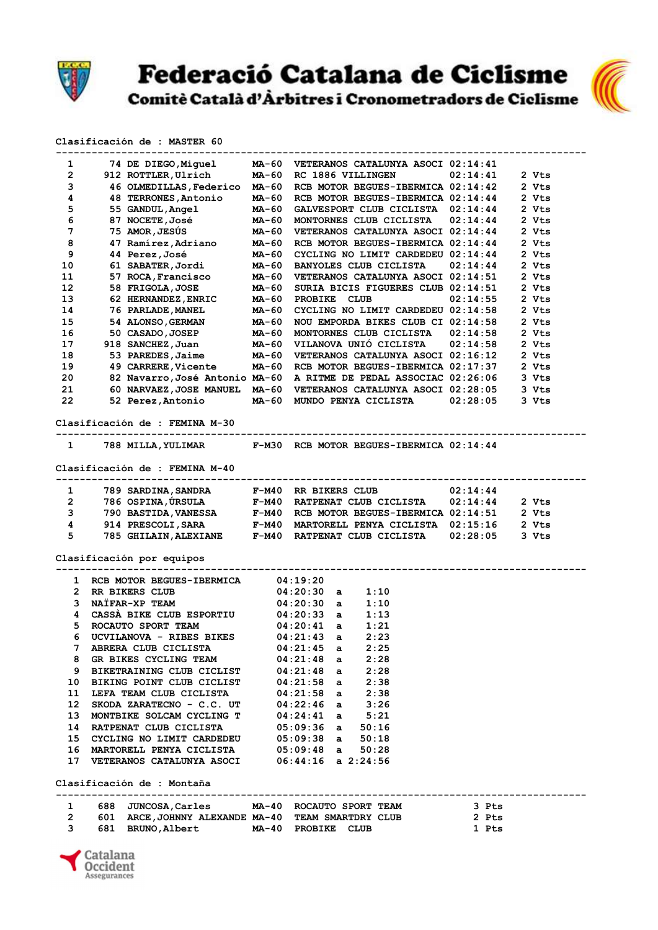

Federació Catalana de Ciclisme<br>Comitè Català d'Àrbitres i Cronometradors de Ciclisme



### Clasificación de : MASTER 60

| 1              | 74 DE DIEGO,Miquel MA-60                                                                                                             |                |                                    | VETERANOS CATALUNYA ASOCI 02:14:41 |          |       |
|----------------|--------------------------------------------------------------------------------------------------------------------------------------|----------------|------------------------------------|------------------------------------|----------|-------|
| $\mathbf{2}$   | 912 ROTTLER, Ulrich                                                                                                                  | MA-60          | RC 1886 VILLINGEN                  |                                    | 02:14:41 | 2 Vts |
| 3              | 46 OLMEDILLAS, Federico MA-60                                                                                                        |                |                                    | RCB MOTOR BEGUES-IBERMICA 02:14:42 |          | 2 Vts |
| 4              | 48 TERRONES, Antonio                                                                                                                 | MA-60          |                                    | RCB MOTOR BEGUES-IBERMICA 02:14:44 |          | 2 Vts |
| 5              | 55 GANDUL, Angel                                                                                                                     | $MA-60$        |                                    | GALVESPORT CLUB CICLISTA 02:14:44  |          | 2 Vts |
| 6              | 87 NOCETE, José                                                                                                                      |                |                                    | MONTORNES CLUB CICLISTA            | 02:14:44 | 2 Vts |
|                | 75 AMOR, JESÚS                                                                                                                       | MA-60<br>MA-60 |                                    |                                    |          |       |
| 7              |                                                                                                                                      |                |                                    | VETERANOS CATALUNYA ASOCI 02:14:44 |          | 2 Vts |
| 8              | 47 Ramírez, Adriano MA-60                                                                                                            |                |                                    | RCB MOTOR BEGUES-IBERMICA 02:14:44 |          | 2 Vts |
| 9              | 44 Perez, José MA-60<br>61 SABATER, Jordi MA-60                                                                                      |                |                                    | CYCLING NO LIMIT CARDEDEU 02:14:44 |          | 2 Vts |
| 10             |                                                                                                                                      |                |                                    | <b>BANYOLES CLUB CICLISTA</b>      | 02:14:44 | 2 Vts |
| 11             | 57 ROCA, Francisco MA-60<br>58 FRIGOLA, JOSE MA-60<br>62 HERNANDEZ, ENRIC MA-60                                                      |                |                                    | VETERANOS CATALUNYA ASOCI 02:14:51 |          | 2 Vts |
| 12             |                                                                                                                                      |                |                                    | SURIA BICIS FIGUERES CLUB 02:14:51 |          | 2 Vts |
| 13             | 58 FRIGOLA, JOSE<br>62 HERNANDEZ, ENRIC                                                                                              |                | PROBIKE CLUB                       |                                    | 02:14:55 | 2 Vts |
| 14             | 76 PARLADE, MANEL MA-60                                                                                                              |                |                                    | CYCLING NO LIMIT CARDEDEU 02:14:58 |          | 2 Vts |
| 15             |                                                                                                                                      |                |                                    | NOU EMPORDA BIKES CLUB CI 02:14:58 |          | 2 Vts |
| 16             | 54 ALONSO, GERMAN MA-60<br>50 CASADO, JOSEP MA-60<br>918 SANCHEZ, Juan MA-60                                                         |                |                                    | MONTORNES CLUB CICLISTA            | 02:14:58 | 2 Vts |
|                |                                                                                                                                      |                |                                    |                                    |          |       |
| 17             |                                                                                                                                      |                |                                    | VILANOVA UNIO CICLISTA             | 02:14:58 | 2 Vts |
| 18             | 53 PAREDES, Jaime MA-60                                                                                                              |                |                                    | VETERANOS CATALUNYA ASOCI 02:16:12 |          | 2 Vts |
| 19             | 49 CARRERE, Vicente MA-60 RCB MOTOR BEGUES-IBERMICA 02:17:37                                                                         |                |                                    |                                    |          | 2 Vts |
| 20             | 82 Navarro, José Antonio MA-60 A RITME DE PEDAL ASSOCIAC 02:26:06                                                                    |                |                                    |                                    |          | 3 Vts |
| 21             | 60 NARVAEZ, JOSE MANUEL MA-60 VETERANOS CATALUNYA ASOCI 02:28:05                                                                     |                |                                    |                                    |          | 3 Vts |
| 22             | 52 Perez, Antonio MA-60 MUNDO PENYA CICLISTA                                                                                         |                |                                    |                                    | 02:28:05 | 3 Vts |
|                |                                                                                                                                      |                |                                    |                                    |          |       |
|                | Clasificación de : FEMINA M-30                                                                                                       |                |                                    |                                    |          |       |
| $\mathbf{1}$   | 788 MILLA, YULIMAR F-M30 RCB MOTOR BEGUES-IBERMICA 02:14:44                                                                          |                |                                    |                                    |          |       |
|                |                                                                                                                                      |                |                                    |                                    |          |       |
|                | Clasificación de : FEMINA M-40                                                                                                       |                |                                    |                                    |          |       |
|                |                                                                                                                                      |                |                                    |                                    |          |       |
| $\mathbf{1}$   | 789 SARDINA, SANDRA F-M40 RR BIKERS CLUB                                                                                             |                |                                    |                                    | 02:14:44 |       |
| $2^{\sim}$     | 786 OSPINA, ÚRSULA F-M40 RATPENAT CLUB CICLISTA                                                                                      |                |                                    |                                    | 02:14:44 | 2 Vts |
| $3^{\circ}$    | 790 BASTIDA,VANESSA     F-M40  RCB MOTOR BEGUES-IBERMICA 02:14:51<br>914 PRESCOLI,SARA     F-M40  MARTORELL PENYA CICLISTA  02:15:16 |                |                                    |                                    |          | 2 Vts |
| $\overline{4}$ |                                                                                                                                      |                |                                    |                                    |          | 2 Vts |
| 5              | 785 GHILAIN, ALEXIANE F-M40 RATPENAT CLUB CICLISTA                                                                                   |                |                                    |                                    | 02:28:05 | 3 Vts |
|                | Clasificación por equipos                                                                                                            |                |                                    |                                    |          |       |
|                |                                                                                                                                      |                |                                    |                                    |          |       |
|                |                                                                                                                                      |                |                                    |                                    |          |       |
|                | 1 RCB MOTOR BEGUES-IBERMICA 04:19:20                                                                                                 |                |                                    |                                    |          |       |
|                | 2 RR BIKERS CLUB                                                                                                                     |                | $04:20:30$ a<br>$04:20:30$ a       | 1:10                               |          |       |
|                | 3 NAÏFAR-XP TEAM                                                                                                                     |                |                                    | 1:10                               |          |       |
|                | 4 CASSÀ BIKE CLUB ESPORTIU 04:20:33 a                                                                                                |                |                                    | 1:13                               |          |       |
|                | 5 ROCAUTO SPORT TEAM                                                                                                                 |                | 04:20:41 a 1:21<br>04:21:43 a 2:23 |                                    |          |       |
| 6              | UCVILANOVA - RIBES BIKES                                                                                                             |                |                                    |                                    |          |       |
| 7              | ABRERA CLUB CICLISTA 04:21:45 a                                                                                                      |                |                                    | 2:25                               |          |       |
|                | 8 GR BIKES CYCLING TEAM                                                                                                              |                | $04:21:48$ a                       | 2:28                               |          |       |
|                | 9 BIKETRAINING CLUB CICLIST                                                                                                          |                | 04:21:48 a                         | 2:28                               |          |       |
|                | 10 BIKING POINT CLUB CICLIST 04:21:58 a 2:38                                                                                         |                |                                    |                                    |          |       |
|                |                                                                                                                                      |                |                                    |                                    |          |       |
| 12             | 11 LEFA TEAM CLUB CICLISTA $04:21:58$ a $2:38$                                                                                       |                |                                    |                                    |          |       |
|                | SKODA ZARATECNO - C.C. UT $04:22:46$ a $3:26$<br>MONTBIKE SOLCAM CYCLING T $04:24:41$ a $5:21$                                       |                |                                    |                                    |          |       |
| 13             |                                                                                                                                      |                |                                    |                                    |          |       |
|                | 14 RATPENAT CLUB CICLISTA 05:09:36 a 50:16                                                                                           |                |                                    |                                    |          |       |
|                | 15 CYCLING NO LIMIT CARDEDEU 05:09:38 a 50:18<br>16 MARTORELL PENYA CICLISTA 05:09:48 a 50:28                                        |                |                                    |                                    |          |       |
|                |                                                                                                                                      |                |                                    |                                    |          |       |
|                | 17 VETERANOS CATALUNYA ASOCI 06:44:16 a 2:24:56                                                                                      |                |                                    |                                    |          |       |
|                | Clasificación de : Montaña                                                                                                           |                |                                    |                                    |          |       |
|                |                                                                                                                                      |                |                                    |                                    |          |       |
| $\mathbf{1}$   | 688 JUNCOSA, Carles MA-40 ROCAUTO SPORT TEAM                                                                                         |                |                                    |                                    | 3 Pts    |       |
| $2^{\circ}$    | 601 ARCE, JOHNNY ALEXANDE MA-40 TEAM SMARTDRY CLUB                                                                                   |                |                                    |                                    | 2 Pts    |       |
|                |                                                                                                                                      |                |                                    |                                    |          |       |
| 3              |                                                                                                                                      |                |                                    |                                    | 1 Pts    |       |
|                | 681 BRUNO, Albert MA-40 PROBIKE CLUB                                                                                                 |                |                                    |                                    |          |       |